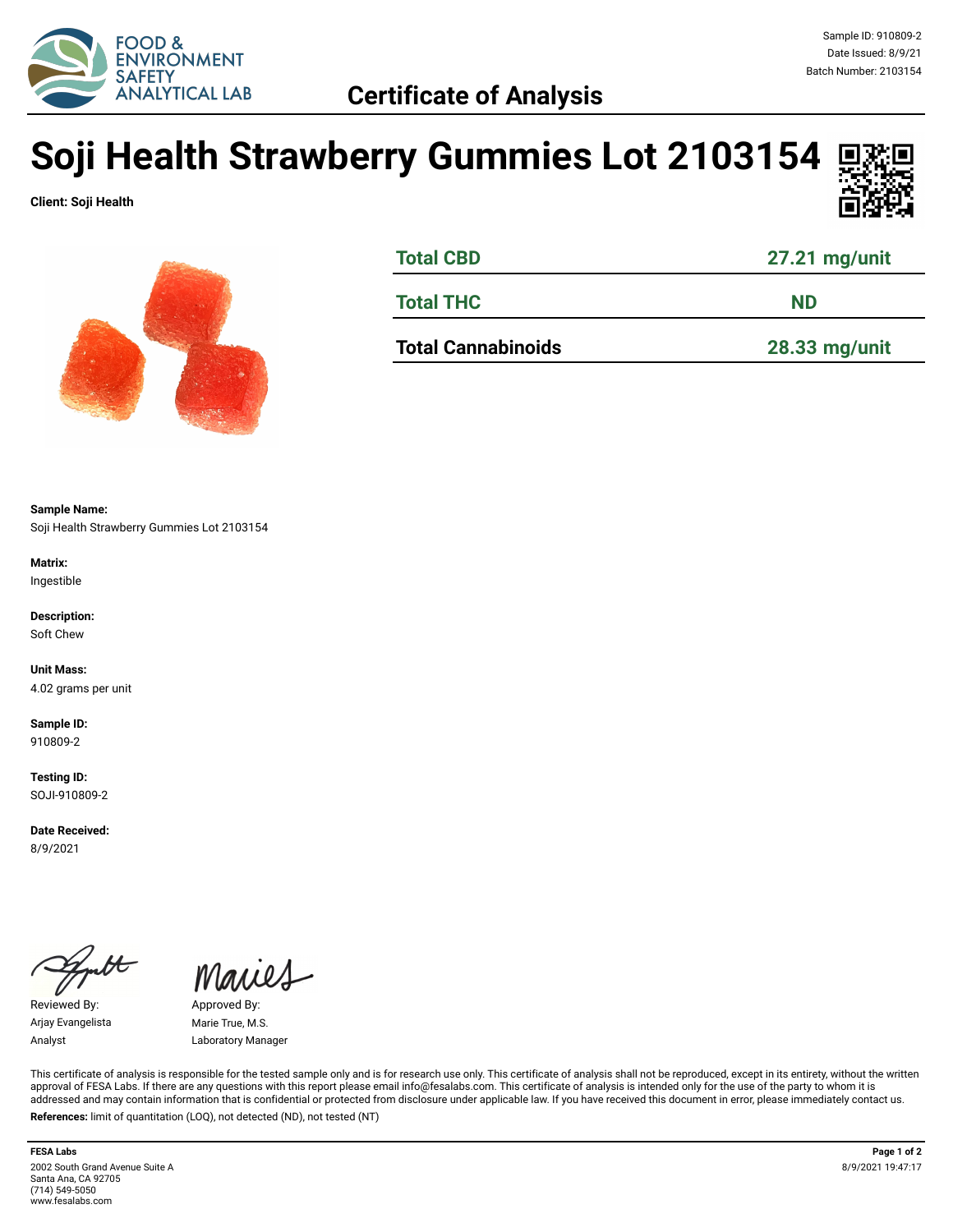

# Soji Health Strawberry Gummies Lot 2103154

Client: Soji Health



| <b>Total CBD</b> | 27.21 mg/unit |
|------------------|---------------|
| <b>Total THC</b> | <b>ND</b>     |
|                  |               |

Total Cannabinoids 28.33 mg/unit

Sample Name:

Soji Health Strawberry Gummies Lot 2103154

Matrix: Ingestible

Description: Soft Chew

Unit Mass: 4.02 grams per unit

Sample ID: 910809-2

Testing ID: SOJI-910809-2

Date Received: 8/9/2021

Reviewed By: Approved By: Arjay Evangelista Marie True, M.S.

Jailes

Analyst Laboratory Manager

This certificate of analysis is responsible for the tested sample only and is for research use only. This certificate of analysis shall not be reproduced, except in its entirety, without the written approval of FESA Labs. If there are any questions with this report please email info@fesalabs.com. This certificate of analysis is intended only for the use of the party to whom it is addressed and may contain information that is confidential or protected from disclosure under applicable law. If you have received this document in error, please immediately contact us. References: limit of quantitation (LOQ), not detected (ND), not tested (NT)

2002 South Grand Avenue Suite A Santa Ana, CA 92705 (714) 549-5050 www.fesalabs.com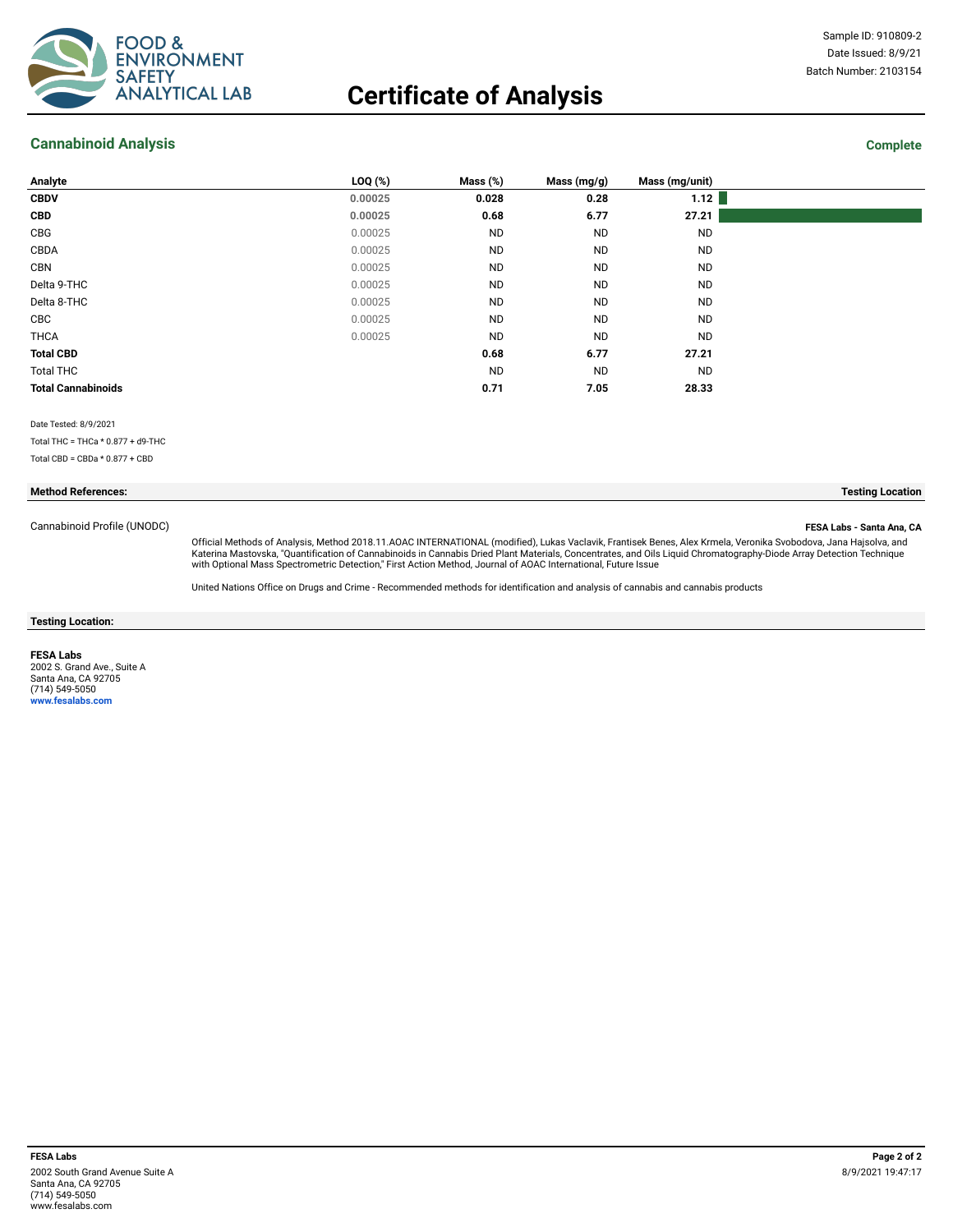

# Certificate of Analysis

# Cannabinoid Analysis Complete

| Analyte                   | $LOQ$ $(*)$ | Mass (%)  | Mass $(mg/g)$ | Mass (mg/unit) |
|---------------------------|-------------|-----------|---------------|----------------|
| <b>CBDV</b>               | 0.00025     | 0.028     | 0.28          | 1.12           |
| <b>CBD</b>                | 0.00025     | 0.68      | 6.77          | 27.21          |
| CBG                       | 0.00025     | <b>ND</b> | <b>ND</b>     | <b>ND</b>      |
| CBDA                      | 0.00025     | <b>ND</b> | <b>ND</b>     | <b>ND</b>      |
| CBN                       | 0.00025     | <b>ND</b> | <b>ND</b>     | <b>ND</b>      |
| Delta 9-THC               | 0.00025     | <b>ND</b> | <b>ND</b>     | <b>ND</b>      |
| Delta 8-THC               | 0.00025     | <b>ND</b> | <b>ND</b>     | <b>ND</b>      |
| CBC                       | 0.00025     | <b>ND</b> | <b>ND</b>     | <b>ND</b>      |
| <b>THCA</b>               | 0.00025     | <b>ND</b> | <b>ND</b>     | <b>ND</b>      |
| <b>Total CBD</b>          |             | 0.68      | 6.77          | 27.21          |
| <b>Total THC</b>          |             | <b>ND</b> | <b>ND</b>     | <b>ND</b>      |
| <b>Total Cannabinoids</b> |             | 0.71      | 7.05          | 28.33          |
|                           |             |           |               |                |

Date Tested: 8/9/2021

Total THC = THCa \* 0.877 + d9-THC

Total CBD = CBDa \* 0.877 + CBD

### **Method References:** Testing Location **Testing Location Testing Location**

Cannabinoid Profile (UNODC) FESA Labs - Santa Ana, CA

Official Methods of Analysis, Method 2018.11.AOAC INTERNATIONAL (modified), Lukas Vaclavik, Frantisek Benes, Alex Krmela, Veronika Svobodova, Jana Hajsolva, and Katerina Mastovska, "Quantification of Cannabinoids in Cannabis Dried Plant Materials, Concentrates, and Oils Liquid Chromatography-Diode Array Detection Technique<br>with Optional Mass Spectrometric Detection," First Action

United Nations Office on Drugs and Crime - Recommended methods for identification and analysis of cannabis and cannabis products

Testing Location:

FESA Labs 2002 S. Grand Ave., Suite A Santa Ana, CA 92705 (714) 549-5050 www.fesalabs.com